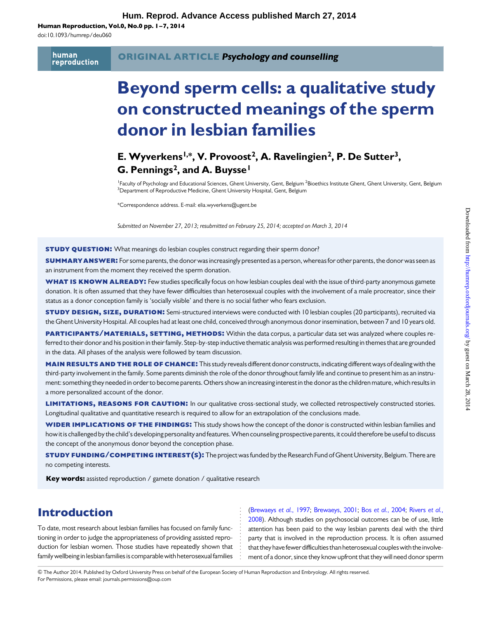Human Reproduction, Vol.0, No.0 pp. 1 –7, 2014

doi:10.1093/humrep/deu060

human reproduction ORIGINAL ARTICLE Psychology and counselling

# Beyond sperm cells: a qualitative study on constructed meanings of the sperm donor in lesbian families

# E. Wyverkens<sup>1,\*</sup>, V. Provoost<sup>2</sup>, A. Ravelingien<sup>2</sup>, P. De Sutter<sup>3</sup>, G. Pennings<sup>2</sup>, and A. Buysse<sup>1</sup>

<sup>1</sup>Faculty of Psychology and Educational Sciences, Ghent University, Gent, Belgium <sup>2</sup>Bioethics Institute Ghent, Ghent University, Gent, Belgium<br><sup>3</sup>Department of Benroductive Medicine, Ghent University Hospital, Gent, Belg <sup>3</sup>Department of Reproductive Medicine, Ghent University Hospital, Gent, Belgium

\*Correspondence address. E-mail: elia.wyverkens@ugent.be

Submitted on November 27, 2013; resubmitted on February 25, 2014; accepted on March 3, 2014

**STUDY QUESTION:** What meanings do lesbian couples construct regarding their sperm donor?

**SUMMARY ANSWER:** For some parents, the donor was increasingly presented as a person, whereas for other parents, the donor was seen as an instrument from the moment they received the sperm donation.

WHAT IS KNOWN ALREADY: Few studies specifically focus on how lesbian couples deal with the issue of third-party anonymous gamete donation. It is often assumed that they have fewer difficulties than heterosexual couples with the involvement of a male procreator, since their status as a donor conception family is 'socially visible' and there is no social father who fears exclusion.

**STUDY DESIGN, SIZE, DURATION:** Semi-structured interviews were conducted with 10 lesbian couples (20 participants), recruited via the Ghent University Hospital. All couples had at least one child, conceived through anonymous donor insemination, between 7 and 10 years old.

PARTICIPANTS/MATERIALS, SETTING, METHODS: Within the data corpus, a particular data set was analyzed where couples referred to their donor and his position in their family. Step-by-step inductive thematic analysis was performed resulting in themes that are grounded in the data. All phases of the analysis were followed by team discussion.

MAIN RESULTS AND THE ROLE OF CHANCE: This study reveals different donor constructs, indicating different ways of dealing with the third-party involvement in the family. Some parents diminish the role of the donor throughout family life and continue to present him as an instrument: something they needed in order to become parents. Others show an increasing interest in the donor as the children mature, which results in a more personalized account of the donor.

**LIMITATIONS, REASONS FOR CAUTION:** In our qualitative cross-sectional study, we collected retrospectively constructed stories. Longitudinal qualitative and quantitative research is required to allow for an extrapolation of the conclusions made.

WIDER IMPLICATIONS OF THE FINDINGS: This study shows how the concept of the donor is constructed within lesbian families and how it is challenged by the child's developing personality and features.When counseling prospective parents, it could therefore be useful to discuss the concept of the anonymous donor beyond the conception phase.

**STUDY FUNDING/COMPETING INTEREST(S):** The project was funded by the Research Fund of Ghent University, Belgium. There are no competing interests.

Key words: assisted reproduction / gamete donation / qualitative research

## Introduction

To date, most research about lesbian families has focused on family functioning in order to judge the appropriateness of providing assisted reproduction for lesbian women. Those studies have repeatedly shown that family wellbeing in lesbian families is comparable with heterosexual families

[\(Brewaeys](#page-5-0) et al., 1997; [Brewaeys, 2001](#page-5-0); Bos et al.[, 2004](#page-5-0); [Rivers](#page-6-0) et al., [2008](#page-6-0)). Although studies on psychosocial outcomes can be of use, little attention has been paid to the way lesbian parents deal with the third party that is involved in the reproduction process. It is often assumed that they have fewer difficulties than heterosexual couples with the involvement of a donor, since they know upfront that they will need donor sperm

& The Author 2014. Published by Oxford University Press on behalf of the European Society of Human Reproduction and Embryology. All rights reserved. For Permissions, please email: journals.permissions@oup.com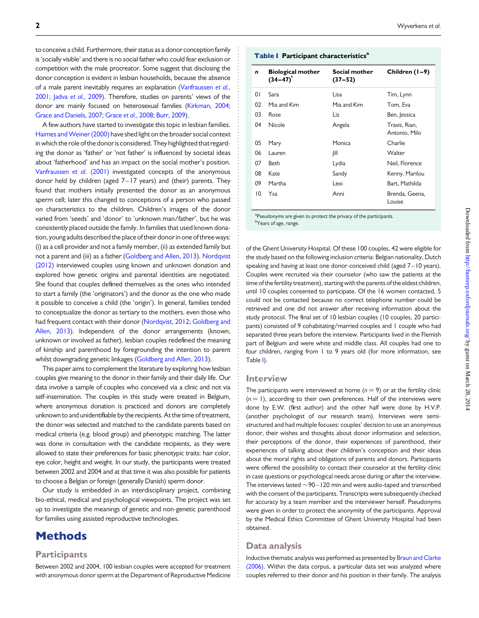to conceive a child. Furthermore, their status as a donor conception family is 'socially visible' and there is no social father who could fear exclusion or competition with the male procreator. Some suggest that disclosing the donor conception is evident in lesbian households, because the absence of a male parent inevitably requires an explanation ([Vanfraussen](#page-6-0) et al., [2001;](#page-6-0) Jadva et al.[, 2009](#page-6-0)). Therefore, studies on parents' views of the donor are mainly focused on heterosexual families [\(Kirkman, 2004;](#page-6-0) [Grace and Daniels, 2007;](#page-6-0) Grace et al.[, 2008;](#page-6-0) [Burr, 2009\)](#page-5-0).

A few authors have started to investigate this topic in lesbian families. Haimes and Weiner (2000) have shed light on the broader social context in which the role of the donor is considered. They highlighted that regarding the donor as 'father' or 'not father' is influenced by societal ideas about 'fatherhood' and has an impact on the social mother's position. [Vanfraussen](#page-6-0) et al. (2001) investigated concepts of the anonymous donor held by children (aged 7–17 years) and (their) parents. They found that mothers initially presented the donor as an anonymous sperm cell; later this changed to conceptions of a person who passed on characteristics to the children. Children's images of the donor varied from 'seeds' and 'donor' to 'unknown man/father', but he was consistently placed outside the family. In families that used known donation, young adults described the place of their donor in one of three ways: (i) as a cell provider and not a family member, (ii) as extended family but not a parent and (iii) as a father [\(Goldberg and Allen, 2013\)](#page-6-0). [Nordqvist](#page-6-0) [\(2012\)](#page-6-0) interviewed couples using known and unknown donation and explored how genetic origins and parental identities are negotiated. She found that couples defined themselves as the ones who intended to start a family (the 'originators') and the donor as the one who made it possible to conceive a child (the 'origin'). In general, families tended to conceptualize the donor as tertiary to the mothers, even those who had frequent contact with their donor ([Nordqvist, 2012](#page-6-0); [Goldberg and](#page-6-0) [Allen, 2013\)](#page-6-0). Independent of the donor arrangements (known, unknown or involved as father), lesbian couples redefined the meaning of kinship and parenthood by foregrounding the intention to parent whilst downgrading genetic linkages [\(Goldberg and Allen, 2013](#page-6-0)).

This paper aims to complement the literature by exploring how lesbian couples give meaning to the donor in their family and their daily life. Our data involve a sample of couples who conceived via a clinic and not via self-insemination. The couples in this study were treated in Belgium, where anonymous donation is practiced and donors are completely unknown to and unidentifiable by the recipients. At the time of treatment, the donor was selected and matched to the candidate parents based on medical criteria (e.g. blood group) and phenotypic matching. The latter was done in consultation with the candidate recipients, as they were allowed to state their preferences for basic phenotypic traits: hair color, eye color, height and weight. In our study, the participants were treated between 2002 and 2004 and at that time it was also possible for patients to choose a Belgian or foreign (generally Danish) sperm donor.

Our study is embedded in an interdisciplinary project, combining bio-ethical, medical and psychological viewpoints. The project was set up to investigate the meanings of genetic and non-genetic parenthood for families using assisted reproductive technologies.

## **Methods**

#### **Participants**

Between 2002 and 2004, 100 lesbian couples were accepted for treatment with anonymous donor sperm at the Department of Reproductive Medicine

| n              | <b>Biological mother</b><br>$(34 - 47)$ | Social mother<br>$(37 - 52)$ | Children (1-9)                 |
|----------------|-----------------------------------------|------------------------------|--------------------------------|
| $\overline{0}$ | Sara                                    | Lisa                         | Tim, Lynn                      |
| 02             | Mia and Kim                             | Mia and Kim                  | Tom, Eva                       |
| 03             | Rose                                    | Liz                          | Ben, Jessica                   |
| 04             | Nicole                                  | Angela                       | Travis, Rian,<br>Antonio, Milo |
| 05             | Mary                                    | Monica                       | Charlie                        |
| 06             | Lauren                                  | lill                         | Walter                         |
| 07             | Beth                                    | Lydia                        | Neil, Florence                 |
| 08             | Kate                                    | Sandy                        | Kenny, Marilou                 |
| 09             | Martha                                  | Lexi                         | Bart, Mathilda                 |
| 10             | Ysa                                     | Anni                         | Brenda, Geena,<br>Louise       |

<sup>a</sup>Pseudonyms are given to protect the privacy of the participants. <sup>b</sup>Years of age, range.

of the Ghent University Hospital. Of these 100 couples, 42 were eligible for the study based on the following inclusion criteria: Belgian nationality, Dutch speaking and having at least one donor-conceived child (aged 7 – 10 years). Couples were recruited via their counselor (who saw the patients at the time of the fertility treatment), starting with the parents of the eldest children, until 10 couples consented to participate. Of the 16 women contacted, 5 could not be contacted because no correct telephone number could be retrieved and one did not answer after receiving information about the study protocol. The final set of 10 lesbian couples (10 couples, 20 participants) consisted of 9 cohabitating/married couples and 1 couple who had separated three years before the interview. Participants lived in the Flemish part of Belgium and were white and middle class. All couples had one to four children, ranging from 1 to 9 years old (for more information, see Table I).

#### **Interview**

The participants were interviewed at home ( $n = 9$ ) or at the fertility clinic  $(n = 1)$ , according to their own preferences. Half of the interviews were done by E.W. (first author) and the other half were done by H.V.P. (another psychologist of our research team). Interviews were semistructured and had multiple focuses: couples' decision to use an anonymous donor, their wishes and thoughts about donor information and selection, their perceptions of the donor, their experiences of parenthood, their experiences of talking about their children's conception and their ideas about the moral rights and obligations of parents and donors. Participants were offered the possibility to contact their counselor at the fertility clinic in case questions or psychological needs arose during or after the interview. The interviews lasted  $\sim$  90 $-$  1 20 min and were audio-taped and transcribed with the consent of the participants. Transcripts were subsequently checked for accuracy by a team member and the interviewer herself. Pseudonyms were given in order to protect the anonymity of the participants. Approval by the Medical Ethics Committee of Ghent University Hospital had been obtained.

#### Data analysis

Inductive thematic analysis was performed as presented by [Braun and Clarke](#page-5-0) [\(2006\)](#page-5-0). Within the data corpus, a particular data set was analyzed where couples referred to their donor and his position in their family. The analysis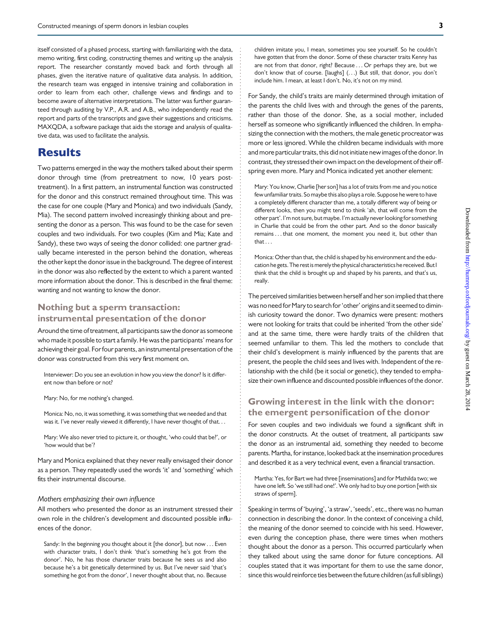itself consisted of a phased process, starting with familiarizing with the data, memo writing, first coding, constructing themes and writing up the analysis report. The researcher constantly moved back and forth through all phases, given the iterative nature of qualitative data analysis. In addition, the research team was engaged in intensive training and collaboration in order to learn from each other, challenge views and findings and to become aware of alternative interpretations. The latter was further guaranteed through auditing by V.P., A.R. and A.B., who independently read the report and parts of the transcripts and gave their suggestions and criticisms. MAXQDA, a software package that aids the storage and analysis of qualitative data, was used to facilitate the analysis.

## **Results**

Two patterns emerged in the way the mothers talked about their sperm donor through time (from pretreatment to now, 10 years posttreatment). In a first pattern, an instrumental function was constructed for the donor and this construct remained throughout time. This was the case for one couple (Mary and Monica) and two individuals (Sandy, Mia). The second pattern involved increasingly thinking about and presenting the donor as a person. This was found to be the case for seven couples and two individuals. For two couples (Kim and Mia; Kate and Sandy), these two ways of seeing the donor collided: one partner gradually became interested in the person behind the donation, whereas the other kept the donor issue in the background. The degree of interest in the donor was also reflected by the extent to which a parent wanted more information about the donor. This is described in the final theme: wanting and not wanting to know the donor.

## Nothing but a sperm transaction: instrumental presentation of the donor

Around the time of treatment, all participants saw the donor as someone who made it possible to start a family. He was the participants' means for achieving their goal. For four parents, an instrumental presentation of the donor was constructed from this very first moment on.

Interviewer: Do you see an evolution in how you view the donor? Is it different now than before or not?

Mary: No, for me nothing's changed.

Monica: No, no, it was something, it was something that we needed and that was it. I've never really viewed it differently, I have never thought of that...

Mary: We also never tried to picture it, or thought, 'who could that be?', or 'how would that be'?

Mary and Monica explained that they never really envisaged their donor as a person. They repeatedly used the words 'it' and 'something' which fits their instrumental discourse.

#### Mothers emphasizing their own influence

All mothers who presented the donor as an instrument stressed their own role in the children's development and discounted possible influences of the donor.

Sandy: In the beginning you thought about it [the donor], but now ... Even with character traits, I don't think 'that's something he's got from the donor'. No, he has those character traits because he sees us and also because he's a bit genetically determined by us. But I've never said 'that's something he got from the donor', I never thought about that, no. Because children imitate you, I mean, sometimes you see yourself. So he couldn't have gotten that from the donor. Some of these character traits Kenny has are not from that donor, right? Because ... Or perhaps they are, but we don't know that of course. [laughs] (...) But still, that donor, you don't include him. I mean, at least I don't. No, it's not on my mind.

For Sandy, the child's traits are mainly determined through imitation of the parents the child lives with and through the genes of the parents, rather than those of the donor. She, as a social mother, included herself as someone who significantly influenced the children. In emphasizing the connection with the mothers, the male genetic procreator was more or less ignored. While the children became individuals with more and more particular traits, this did not initiate new images of the donor. In contrast, they stressed their own impact on the development of their offspring even more. Mary and Monica indicated yet another element:

Mary: You know, Charlie [her son] has a lot of traits from me and you notice few unfamiliar traits. So maybe this also plays a role. Suppose he were to have a completely different character than me, a totally different way of being or different looks, then you might tend to think 'ah, that will come from the other part'. I'm not sure, but maybe. I'm actually never looking for something in Charlie that could be from the other part. And so the donor basically remains ... that one moment, the moment you need it, but other than that ...

Monica: Other than that, the child is shaped by his environment and the education he gets. The rest is merely the physical characteristics he received. But I think that the child is brought up and shaped by his parents, and that's us, really.

The perceived similarities between herself and her son implied that there was no need for Mary to search for 'other' origins and it seemed to diminish curiosity toward the donor. Two dynamics were present: mothers were not looking for traits that could be inherited 'from the other side' and at the same time, there were hardly traits of the children that seemed unfamiliar to them. This led the mothers to conclude that their child's development is mainly influenced by the parents that are present, the people the child sees and lives with. Independent of the relationship with the child (be it social or genetic), they tended to emphasize their own influence and discounted possible influences of the donor.

### Growing interest in the link with the donor: the emergent personification of the donor

For seven couples and two individuals we found a significant shift in the donor constructs. At the outset of treatment, all participants saw the donor as an instrumental aid, something they needed to become parents. Martha, for instance, looked back at the insemination procedures and described it as a very technical event, even a financial transaction.

Martha: Yes, for Bart we had three [inseminations] and for Mathilda two; we have one left. So 'we still had one!'. We only had to buy one portion [with six straws of sperm].

Speaking in terms of 'buying', 'a straw', 'seeds', etc., there was no human connection in describing the donor. In the context of conceiving a child, the meaning of the donor seemed to coincide with his seed. However, even during the conception phase, there were times when mothers thought about the donor as a person. This occurred particularly when they talked about using the same donor for future conceptions. All couples stated that it was important for them to use the same donor, since this would reinforce ties between the future children (as full siblings)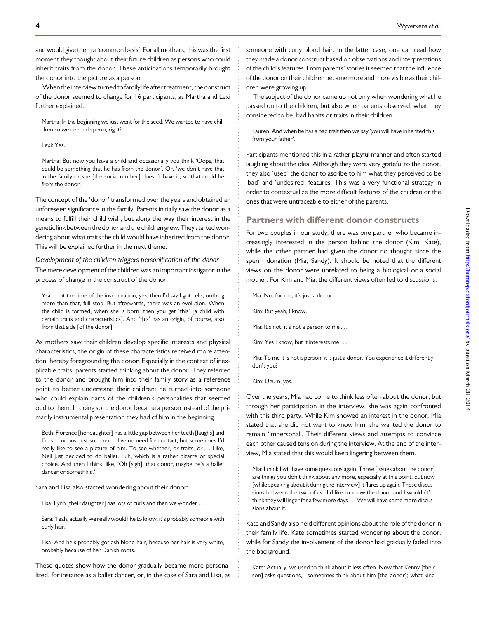and would give them a 'common basis'. For all mothers, this was the first moment they thought about their future children as persons who could inherit traits from the donor. These anticipations temporarily brought the donor into the picture as a person.

When the interview turned to family life after treatment, the construct of the donor seemed to change for 16 participants, as Martha and Lexi further explained:

Martha: In the beginning we just went for the seed. We wanted to have children so we needed sperm, right?

#### Lexi: Yes.

Martha: But now you have a child and occasionally you think 'Oops, that could be something that he has from the donor'. Or, 'we don't have that in the family or she [the social mother] doesn't have it, so that could be from the donor.

The concept of the 'donor' transformed over the years and obtained an unforeseen significance in the family. Parents initially saw the donor as a means to fulfill their child wish, but along the way their interest in the genetic link between the donor and the children grew. They started wondering about what traits the child would have inherited from the donor. This will be explained further in the next theme.

Development of the children triggers personification of the donor The mere development of the children was an important instigator in the process of change in the construct of the donor.

Ysa: ...at the time of the insemination, yes, then I'd say I got cells, nothing more than that, full stop. But afterwards, there was an evolution. When the child is formed, when she is born, then you get 'this' [a child with certain traits and characteristics]. And 'this' has an origin, of course, also from that side [of the donor].

As mothers saw their children develop specific interests and physical characteristics, the origin of these characteristics received more attention, hereby foregrounding the donor. Especially in the context of inexplicable traits, parents started thinking about the donor. They referred to the donor and brought him into their family story as a reference point to better understand their children: he turned into someone who could explain parts of the children's personalities that seemed odd to them. In doing so, the donor became a person instead of the primarily instrumental presentation they had of him in the beginning.

Beth: Florence [her daughter] has a little gap between her teeth [laughs] and I'm so curious, just so, uhm... I've no need for contact, but sometimes I'd really like to see a picture of him. To see whether, or traits, or ... Like, Neil just decided to do ballet. Euh, which is a rather bizarre or special choice. And then I think, like, 'Oh [sigh], that donor, maybe he's a ballet dancer or something.'

Sara and Lisa also started wondering about their donor:

Lisa: Lynn [their daughter] has lots of curls and then we wonder ...

Sara: Yeah, actually we really would like to know, it's probably someone with curly hair.

Lisa: And he's probably got ash blond hair, because her hair is very white, probably because of her Danish roots.

These quotes show how the donor gradually became more personalized, for instance as a ballet dancer, or, in the case of Sara and Lisa, as someone with curly blond hair. In the latter case, one can read how they made a donor construct based on observations and interpretations of the child's features. From parents' stories it seemed that the influence of the donor on their children became more and more visible as their children were growing up.

The subject of the donor came up not only when wondering what he passed on to the children, but also when parents observed, what they considered to be, bad habits or traits in their children.

Lauren: And when he has a bad trait then we say 'you will have inherited this from your father'.

Participants mentioned this in a rather playful manner and often started laughing about the idea. Although they were very grateful to the donor, they also 'used' the donor to ascribe to him what they perceived to be 'bad' and 'undesired' features. This was a very functional strategy in order to contextualize the more difficult features of the children or the ones that were untraceable to either of the parents.

#### Partners with different donor constructs

For two couples in our study, there was one partner who became increasingly interested in the person behind the donor (Kim, Kate), while the other partner had given the donor no thought since the sperm donation (Mia, Sandy). It should be noted that the different views on the donor were unrelated to being a biological or a social mother. For Kim and Mia, the different views often led to discussions.

Mia: No, for me, it's just a donor.

Kim: But yeah, I know.

Mia: It's not, it's not a person to me...

Kim: Yes I know, but it interests me ...

Mia: To me it is not a person, it is just a donor. You experience it differently, don't you?

Kim: Uhum, yes.

Over the years, Mia had come to think less often about the donor, but through her participation in the interview, she was again confronted with this third party. While Kim showed an interest in the donor, Mia stated that she did not want to know him: she wanted the donor to remain 'impersonal'. Their different views and attempts to convince each other caused tension during the interview. At the end of the interview, Mia stated that this would keep lingering between them.

Mia: I think I will have some questions again. Those [issues about the donor] are things you don't think about any more, especially at this point, but now [while speaking about it during the interview] it flares up again. These discussions between the two of us: 'I'd like to know the donor and I wouldn't', I think they will linger for a few more days ... We will have some more discussions about it.

Kate and Sandy also held different opinions about the role of the donor in their family life. Kate sometimes started wondering about the donor, while for Sandy the involvement of the donor had gradually faded into the background.

Kate: Actually, we used to think about it less often. Now that Kenny [their son] asks questions, I sometimes think about him [the donor]; what kind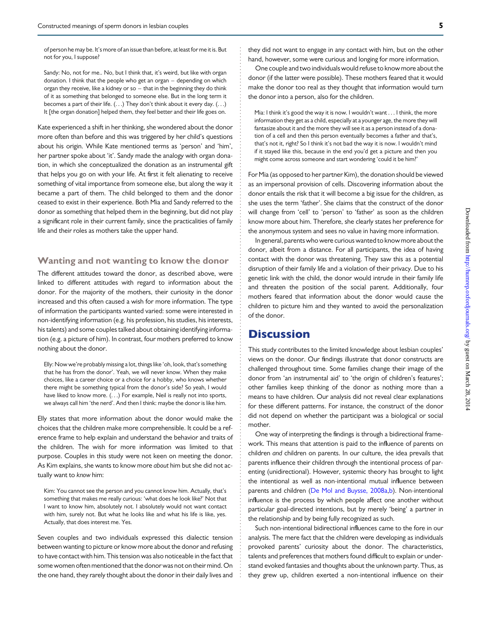of person he may be. It's more of an issue than before, at least for me it is. But not for you, I suppose?

Sandy: No, not for me.. No, but I think that, it's weird, but like with organ donation. I think that the people who get an organ – depending on which organ they receive, like a kidney or so – that in the beginning they do think of it as something that belonged to someone else. But in the long term it becomes a part of their life. (...) They don't think about it every day. (...) It [the organ donation] helped them, they feel better and their life goes on.

Kate experienced a shift in her thinking, she wondered about the donor more often than before and this was triggered by her child's questions about his origin. While Kate mentioned terms as 'person' and 'him', her partner spoke about 'it'. Sandy made the analogy with organ donation, in which she conceptualized the donation as an instrumental gift that helps you go on with your life. At first it felt alienating to receive something of vital importance from someone else, but along the way it became a part of them. The child belonged to them and the donor ceased to exist in their experience. Both Mia and Sandy referred to the donor as something that helped them in the beginning, but did not play a significant role in their current family, since the practicalities of family life and their roles as mothers take the upper hand.

#### Wanting and not wanting to know the donor

The different attitudes toward the donor, as described above, were linked to different attitudes with regard to information about the donor. For the majority of the mothers, their curiosity in the donor increased and this often caused a wish for more information. The type of information the participants wanted varied: some were interested in non-identifying information (e.g. his profession, his studies, his interests, his talents) and some couples talked about obtaining identifying information (e.g. a picture of him). In contrast, four mothers preferred to know nothing about the donor.

Elly: Now we're probably missing a lot, things like 'oh, look, that's something that he has from the donor'. Yeah, we will never know. When they make choices, like a career choice or a choice for a hobby, who knows whether there might be something typical from the donor's side? So yeah, I would have liked to know more. (...) For example, Neil is really not into sports, we always call him 'the nerd'. And then I think: maybe the donor is like him.

Elly states that more information about the donor would make the choices that the children make more comprehensible. It could be a reference frame to help explain and understand the behavior and traits of the children. The wish for more information was limited to that purpose. Couples in this study were not keen on meeting the donor. As Kim explains, she wants to know more about him but she did not actually want to know him:

Kim: You cannot see the person and you cannot know him. Actually, that's something that makes me really curious: 'what does he look like?' Not that I want to know him, absolutely not. I absolutely would not want contact with him, surely not. But what he looks like and what his life is like, yes. Actually, that does interest me. Yes.

Seven couples and two individuals expressed this dialectic tension between wanting to picture or know more about the donor and refusing to have contact with him. This tension was also noticeable in the fact that some women often mentioned that the donor was not on their mind. On the one hand, they rarely thought about the donor in their daily lives and

they did not want to engage in any contact with him, but on the other hand, however, some were curious and longing for more information.

One couple and two individuals would refuse to know more about the donor (if the latter were possible). These mothers feared that it would make the donor too real as they thought that information would turn the donor into a person, also for the children.

Mia: I think it's good the way it is now. I wouldn't want . . . I think, the more information they get as a child, especially at a younger age, the more they will fantasize about it and the more they will see it as a person instead of a donation of a cell and then this person eventually becomes a father and that's, that's not it, right? So I think it's not bad the way it is now. I wouldn't mind if it stayed like this, because in the end you'd get a picture and then you might come across someone and start wondering 'could it be him?'

For Mia (as opposed to her partner Kim), the donation should be viewed as an impersonal provision of cells. Discovering information about the donor entails the risk that it will become a big issue for the children, as she uses the term 'father'. She claims that the construct of the donor will change from 'cell' to 'person' to 'father' as soon as the children know more about him. Therefore, she clearly states her preference for the anonymous system and sees no value in having more information.

In general, parents who were curious wanted to know more about the donor, albeit from a distance. For all participants, the idea of having contact with the donor was threatening. They saw this as a potential disruption of their family life and a violation of their privacy. Due to his genetic link with the child, the donor would intrude in their family life and threaten the position of the social parent. Additionally, four mothers feared that information about the donor would cause the children to picture him and they wanted to avoid the personalization of the donor.

## **Discussion**

This study contributes to the limited knowledge about lesbian couples' views on the donor. Our findings illustrate that donor constructs are challenged throughout time. Some families change their image of the donor from 'an instrumental aid' to 'the origin of children's features'; other families keep thinking of the donor as nothing more than a means to have children. Our analysis did not reveal clear explanations for these different patterns. For instance, the construct of the donor did not depend on whether the participant was a biological or social mother.

One way of interpreting the findings is through a bidirectional framework. This means that attention is paid to the influence of parents on children and children on parents. In our culture, the idea prevails that parents influence their children through the intentional process of parenting (unidirectional). However, systemic theory has brought to light the intentional as well as non-intentional mutual influence between parents and children [\(De Mol and Buysse, 2008a,b](#page-5-0)). Non-intentional influence is the process by which people affect one another without particular goal-directed intentions, but by merely 'being' a partner in the relationship and by being fully recognized as such.

Such non-intentional bidirectional influences came to the fore in our analysis. The mere fact that the children were developing as individuals provoked parents' curiosity about the donor. The characteristics, talents and preferences that mothers found difficult to explain or understand evoked fantasies and thoughts about the unknown party. Thus, as they grew up, children exerted a non-intentional influence on their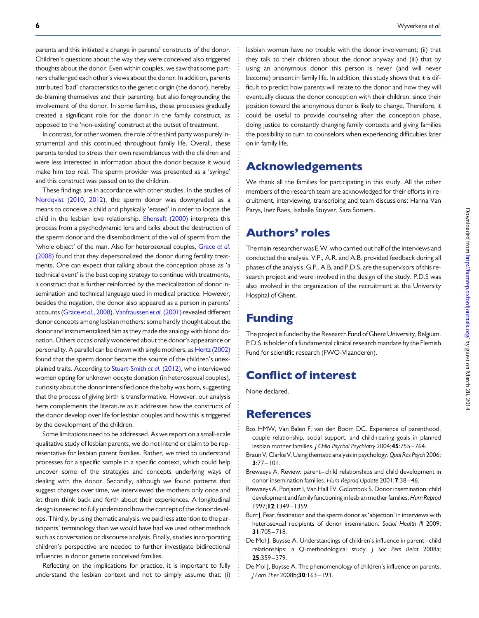<span id="page-5-0"></span>parents and this initiated a change in parents' constructs of the donor. Children's questions about the way they were conceived also triggered thoughts about the donor. Even within couples, we saw that some partners challenged each other's views about the donor. In addition, parents attributed 'bad' characteristics to the genetic origin (the donor), hereby de-blaming themselves and their parenting, but also foregrounding the involvement of the donor. In some families, these processes gradually created a significant role for the donor in the family construct, as opposed to the 'non-existing' construct at the outset of treatment.

In contrast, for other women, the role of the third party was purely instrumental and this continued throughout family life. Overall, these parents tended to stress their own resemblances with the children and were less interested in information about the donor because it would make him too real. The sperm provider was presented as a 'syringe' and this construct was passed on to the children.

These findings are in accordance with other studies. In the studies of [Nordqvist \(2010](#page-6-0), [2012\)](#page-6-0), the sperm donor was downgraded as a means to conceive a child and physically 'erased' in order to locate the child in the lesbian love relationship. [Ehensaft \(2000\)](#page-6-0) interprets this process from a psychodynamic lens and talks about the destruction of the sperm donor and the disembodiment of the vial of sperm from the 'whole object' of the man. Also for heterosexual couples, [Grace](#page-6-0) et al. [\(2008\)](#page-6-0) found that they depersonalized the donor during fertility treatments. One can expect that talking about the conception phase as 'a technical event' is the best coping strategy to continue with treatments, a construct that is further reinforced by the medicalization of donor insemination and technical language used in medical practice. However, besides the negation, the donor also appeared as a person in parents' accounts ([Grace](#page-6-0) et al., 2008). [Vanfraussen](#page-6-0) et al. (2001) revealed different donor concepts among lesbian mothers: some hardly thought about the donor and instrumentalized him as they made the analogy with blood donation. Others occasionally wondered about the donor's appearance or personality. A parallel can be drawn with single mothers, as [Hertz \(2002\)](#page-6-0) found that the sperm donor became the source of the children's unexplained traits. According to [Stuart-Smith](#page-6-0) et al. (2012), who interviewed women opting for unknown oocyte donation (in heterosexual couples), curiosity about the donor intensified once the baby was born, suggesting that the process of giving birth is transformative. However, our analysis here complements the literature as it addresses how the constructs of the donor develop over life for lesbian couples and how this is triggered by the development of the children.

Some limitations need to be addressed. As we report on a small-scale qualitative study of lesbian parents, we do not intend or claim to be representative for lesbian parent families. Rather, we tried to understand processes for a specific sample in a specific context, which could help uncover some of the strategies and concepts underlying ways of dealing with the donor. Secondly, although we found patterns that suggest changes over time, we interviewed the mothers only once and let them think back and forth about their experiences. A longitudinal design is needed to fully understand how the concept of the donor develops. Thirdly, by using thematic analysis, we paid less attention to the participants' terminology than we would have had we used other methods such as conversation or discourse analysis. Finally, studies incorporating children's perspective are needed to further investigate bidirectional influences in donor gamete conceived families.

Reflecting on the implications for practice, it is important to fully understand the lesbian context and not to simply assume that: (i) lesbian women have no trouble with the donor involvement; (ii) that they talk to their children about the donor anyway and (iii) that by using an anonymous donor this person is never (and will never become) present in family life. In addition, this study shows that it is difficult to predict how parents will relate to the donor and how they will eventually discuss the donor conception with their children, since their position toward the anonymous donor is likely to change. Therefore, it could be useful to provide counseling after the conception phase, doing justice to constantly changing family contexts and giving families the possibility to turn to counselors when experiencing difficulties later on in family life.

## Acknowledgements

We thank all the families for participating in this study. All the other members of the research team are acknowledged for their efforts in recruitment, interviewing, transcribing and team discussions: Hanna Van Parys, Inez Raes, Isabelle Stuyver, Sara Somers.

## Authors' roles

The main researcher was E.W. who carried out half of the interviews and conducted the analysis. V.P., A.R. and A.B. provided feedback during all phases of the analysis. G.P., A.B. and P.D.S. are the supervisors of this research project and were involved in the design of the study. P.D.S was also involved in the organization of the recruitment at the University Hospital of Ghent.

# Funding

The project is funded by the Research Fund of Ghent University, Belgium. P.D.S. is holder of a fundamental clinical research mandate by the Flemish Fund for scientific research (FWO-Vlaanderen).

# Conflict of interest

None declared.

## References

- Bos HMW, Van Balen F, van den Boom DC. Experience of parenthood, couple relationship, social support, and child-rearing goals in planned lesbian mother families. J Child Psychol Psychiatry 2004;45:755-764.
- Braun V, Clarke V. Using thematic analysis in psychology.Qual Res Psych 2006;  $3:77 - 101$
- Brewaeys A. Review: parent–child relationships and child development in donor insemination families. Hum Reprod Update 2001;7:38-46.
- Brewaeys A, Ponjaert I, Van Hall EV, Golombok S. Donor insemination: child development and family functioning in lesbian mother families. Hum Reprod 1997;12:1349 – 1359.
- Burr |. Fear, fascination and the sperm donor as 'abjection' in interviews with heterosexual recipients of donor insemination. Sociol Health III 2009;  $31:705 - 718.$
- De Mol J, Buysse A. Understandings of children's influence in parent-child relationships: a Q-methodological study. J Soc Pers Relat 2008a; 25:359 – 379.
- De Mol J, Buysse A. The phenomenology of children's influence on parents. J Fam Ther 2008b;30:163 – 193.